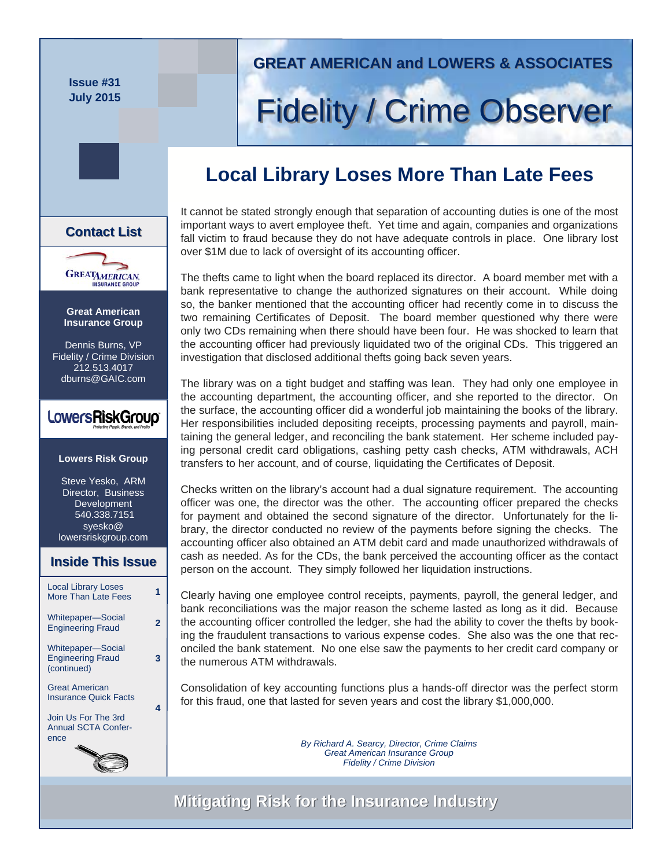**Issue #31 July 2015** 

**Great American Insurance Group**  Dennis Burns, VP Fidelity / Crime Division 212.513.4017 dburns@GAIC.com

**GREATAMERICAN** 

**Contact List List**

**Lowers Risk Group** 

LowersRiskGroup®

Steve Yesko, ARM Director, Business Development 540.338.7151 syesko@ lowersriskgroup.com

**Inside This Issue Inside This Issue**

Local Library Loses More Than Late Fees **<sup>1</sup>**

Whitepaper—Social Engineering Fraud **<sup>2</sup>**

Whitepaper—Social Engineering Fraud (continued)

Great American Insurance Quick Facts Join Us For The 3rd Annual SCTA Confer-

ence

**3** 

**4** 

## **GREAT AMERICAN and LOWERS & ASSOCIATES GREAT AMERICAN and LOWERS & ASSOCIATES**

# **Fidelity / Crime Observer**

# **Local Library Loses More Than Late Fees**

It cannot be stated strongly enough that separation of accounting duties is one of the most important ways to avert employee theft. Yet time and again, companies and organizations fall victim to fraud because they do not have adequate controls in place. One library lost over \$1M due to lack of oversight of its accounting officer.

The thefts came to light when the board replaced its director. A board member met with a bank representative to change the authorized signatures on their account. While doing so, the banker mentioned that the accounting officer had recently come in to discuss the two remaining Certificates of Deposit. The board member questioned why there were only two CDs remaining when there should have been four. He was shocked to learn that the accounting officer had previously liquidated two of the original CDs. This triggered an investigation that disclosed additional thefts going back seven years.

The library was on a tight budget and staffing was lean. They had only one employee in the accounting department, the accounting officer, and she reported to the director. On the surface, the accounting officer did a wonderful job maintaining the books of the library. Her responsibilities included depositing receipts, processing payments and payroll, maintaining the general ledger, and reconciling the bank statement. Her scheme included paying personal credit card obligations, cashing petty cash checks, ATM withdrawals, ACH transfers to her account, and of course, liquidating the Certificates of Deposit.

Checks written on the library's account had a dual signature requirement. The accounting officer was one, the director was the other. The accounting officer prepared the checks for payment and obtained the second signature of the director. Unfortunately for the library, the director conducted no review of the payments before signing the checks. The accounting officer also obtained an ATM debit card and made unauthorized withdrawals of cash as needed. As for the CDs, the bank perceived the accounting officer as the contact person on the account. They simply followed her liquidation instructions.

Clearly having one employee control receipts, payments, payroll, the general ledger, and bank reconciliations was the major reason the scheme lasted as long as it did. Because the accounting officer controlled the ledger, she had the ability to cover the thefts by booking the fraudulent transactions to various expense codes. She also was the one that reconciled the bank statement. No one else saw the payments to her credit card company or the numerous ATM withdrawals.

Consolidation of key accounting functions plus a hands-off director was the perfect storm for this fraud, one that lasted for seven years and cost the library \$1,000,000.

> *By Richard A. Searcy, Director, Crime Claims Great American Insurance Group Fidelity / Crime Division*

**Mitigating Risk for the Insurance Industry Mitigating Risk for the Insurance Industry**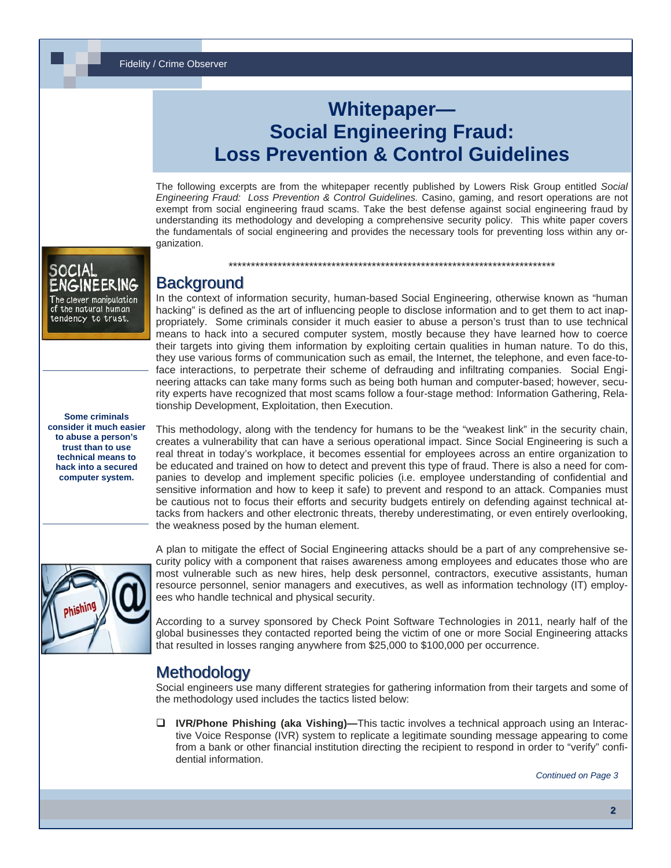Fidelity / Crime Observer

## **Whitepaper— Social Engineering Fraud: Loss Prevention & Control Guidelines**

The following excerpts are from the whitepaper recently published by Lowers Risk Group entitled *Social Engineering Fraud: Loss Prevention & Control Guidelines.* Casino, gaming, and resort operations are not exempt from social engineering fraud scams. Take the best defense against social engineering fraud by understanding its methodology and developing a comprehensive security policy. This white paper covers the fundamentals of social engineering and provides the necessary tools for preventing loss within any organization.

\*\*\*\*\*\*\*\*\*\*\*\*\*\*\*\*\*\*\*\*\*\*\*\*\*\*\*\*\*\*\*\*\*\*\*\*\*\*\*\*\*\*\*\*\*\*\*\*\*\*\*\*\*\*\*\*\*\*\*\*\*\*\*\*\*\*\*\*\*\*\*\*\*

#### SOCIAL The clever manipulation of the natural human tendency to trust.

### **Background**

In the context of information security, human-based Social Engineering, otherwise known as "human hacking" is defined as the art of influencing people to disclose information and to get them to act inappropriately. Some criminals consider it much easier to abuse a person's trust than to use technical means to hack into a secured computer system, mostly because they have learned how to coerce their targets into giving them information by exploiting certain qualities in human nature. To do this, they use various forms of communication such as email, the Internet, the telephone, and even face-toface interactions, to perpetrate their scheme of defrauding and infiltrating companies. Social Engineering attacks can take many forms such as being both human and computer-based; however, security experts have recognized that most scams follow a four-stage method: Information Gathering, Relationship Development, Exploitation, then Execution.

**Some criminals consider it much easier to abuse a person's trust than to use technical means to hack into a secured computer system.** 

This methodology, along with the tendency for humans to be the "weakest link" in the security chain, creates a vulnerability that can have a serious operational impact. Since Social Engineering is such a real threat in today's workplace, it becomes essential for employees across an entire organization to be educated and trained on how to detect and prevent this type of fraud. There is also a need for companies to develop and implement specific policies (i.e. employee understanding of confidential and sensitive information and how to keep it safe) to prevent and respond to an attack. Companies must be cautious not to focus their efforts and security budgets entirely on defending against technical attacks from hackers and other electronic threats, thereby underestimating, or even entirely overlooking, the weakness posed by the human element.



A plan to mitigate the effect of Social Engineering attacks should be a part of any comprehensive security policy with a component that raises awareness among employees and educates those who are most vulnerable such as new hires, help desk personnel, contractors, executive assistants, human resource personnel, senior managers and executives, as well as information technology (IT) employees who handle technical and physical security.

According to a survey sponsored by Check Point Software Technologies in 2011, nearly half of the global businesses they contacted reported being the victim of one or more Social Engineering attacks that resulted in losses ranging anywhere from \$25,000 to \$100,000 per occurrence.

## **Methodology**

Social engineers use many different strategies for gathering information from their targets and some of the methodology used includes the tactics listed below:

**IVR/Phone Phishing (aka Vishing)—**This tactic involves a technical approach using an Interactive Voice Response (IVR) system to replicate a legitimate sounding message appearing to come from a bank or other financial institution directing the recipient to respond in order to "verify" confidential information.

*Continued on Page 3*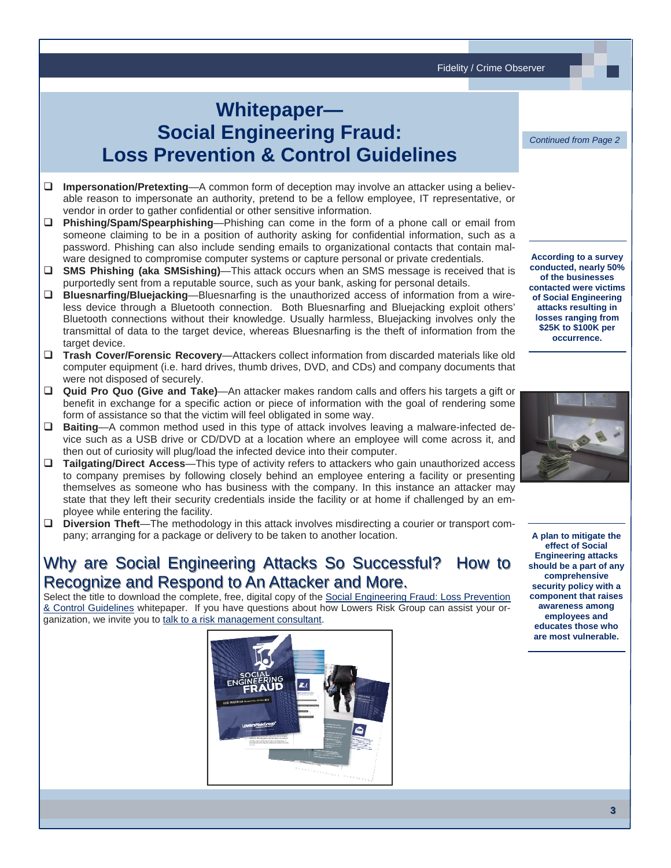Fidelity / Crime Observer

# **Whitepaper— Social Engineering Fraud: Loss Prevention & Control Guidelines**

*Continued from Page 2* 

- **Impersonation/Pretexting**—A common form of deception may involve an attacker using a believable reason to impersonate an authority, pretend to be a fellow employee, IT representative, or vendor in order to gather confidential or other sensitive information.
- **Phishing/Spam/Spearphishing**—Phishing can come in the form of a phone call or email from someone claiming to be in a position of authority asking for confidential information, such as a password. Phishing can also include sending emails to organizational contacts that contain malware designed to compromise computer systems or capture personal or private credentials.
- **SMS Phishing (aka SMSishing)**—This attack occurs when an SMS message is received that is purportedly sent from a reputable source, such as your bank, asking for personal details.
- **Bluesnarfing/Bluejacking**—Bluesnarfing is the unauthorized access of information from a wireless device through a Bluetooth connection. Both Bluesnarfing and Bluejacking exploit others' Bluetooth connections without their knowledge. Usually harmless, Bluejacking involves only the transmittal of data to the target device, whereas Bluesnarfing is the theft of information from the target device.
- **Trash Cover/Forensic Recovery**—Attackers collect information from discarded materials like old computer equipment (i.e. hard drives, thumb drives, DVD, and CDs) and company documents that were not disposed of securely.
- **Quid Pro Quo (Give and Take)**—An attacker makes random calls and offers his targets a gift or benefit in exchange for a specific action or piece of information with the goal of rendering some form of assistance so that the victim will feel obligated in some way.
- **Baiting**—A common method used in this type of attack involves leaving a malware-infected device such as a USB drive or CD/DVD at a location where an employee will come across it, and then out of curiosity will plug/load the infected device into their computer.
- **Tailgating/Direct Access**—This type of activity refers to attackers who gain unauthorized access to company premises by following closely behind an employee entering a facility or presenting themselves as someone who has business with the company. In this instance an attacker may state that they left their security credentials inside the facility or at home if challenged by an employee while entering the facility.
- **Diversion Theft**—The methodology in this attack involves misdirecting a courier or transport company; arranging for a package or delivery to be taken to another location.

## Why are Social Engineering Attacks So Successful? How to Recognize and Respond to An Attacker and More.

Select the title to download the complete, free, digital copy of the Social Engineering Fraud: Loss Prevention [& Control Guidelines](http://www.lowersriskgroup.com/lp/social-engineering-fraud) whitepaper. If you have questions about how Lowers Risk Group can assist your organization, we invite you to [talk to a risk management consultan](http://www.lowersriskgroup.com/contact/request-meeting.php)t.



**According to a survey conducted, nearly 50% of the businesses contacted were victims of Social Engineering attacks resulting in losses ranging from \$25K to \$100K per occurrence.**



**A plan to mitigate the effect of Social Engineering attacks should be a part of any comprehensive security policy with a component that raises awareness among employees and educates those who are most vulnerable.**